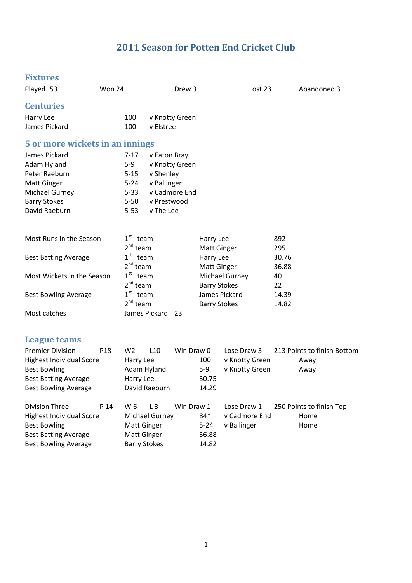# **2011 Season for Potten End Cricket Club**

| <b>Fixtures</b>                 |                 |                         |                       |                |                     |                |       |                             |
|---------------------------------|-----------------|-------------------------|-----------------------|----------------|---------------------|----------------|-------|-----------------------------|
| Played 53                       | Won 24          |                         |                       | Drew 3         |                     | Lost 23        |       | Abandoned 3                 |
| <b>Centuries</b>                |                 |                         |                       |                |                     |                |       |                             |
| Harry Lee                       |                 | 100                     |                       | v Knotty Green |                     |                |       |                             |
| James Pickard                   |                 | 100                     | v Elstree             |                |                     |                |       |                             |
| 5 or more wickets in an innings |                 |                         |                       |                |                     |                |       |                             |
| James Pickard                   |                 | $7 - 17$                | v Eaton Bray          |                |                     |                |       |                             |
| Adam Hyland                     |                 | $5-9$                   |                       | v Knotty Green |                     |                |       |                             |
| Peter Raeburn                   |                 | $5 - 15$                | v Shenley             |                |                     |                |       |                             |
| <b>Matt Ginger</b>              |                 | $5 - 24$                | v Ballinger           |                |                     |                |       |                             |
| <b>Michael Gurney</b>           |                 | $5 - 33$                |                       | v Cadmore End  |                     |                |       |                             |
| <b>Barry Stokes</b>             |                 | $5 - 50$                | v Prestwood           |                |                     |                |       |                             |
| David Raeburn                   |                 | $5 - 53$                | v The Lee             |                |                     |                |       |                             |
|                                 |                 |                         |                       |                |                     |                |       |                             |
| Most Runs in the Season         |                 | $1st$ team              |                       |                | Harry Lee           |                | 892   |                             |
|                                 |                 | $2^{nd}$ team           |                       |                | <b>Matt Ginger</b>  |                | 295   |                             |
| <b>Best Batting Average</b>     |                 | $1^{\text{st}}$<br>team |                       |                | Harry Lee           |                | 30.76 |                             |
|                                 |                 | $2nd$ team              |                       |                | <b>Matt Ginger</b>  |                | 36.88 |                             |
| Most Wickets in the Season      |                 | 1 <sup>st</sup><br>team |                       |                |                     | Michael Gurney | 40    |                             |
|                                 |                 | $2^{nd}$ team           |                       |                | <b>Barry Stokes</b> |                | 22    |                             |
| <b>Best Bowling Average</b>     |                 | $1^{\rm st}$<br>team    |                       |                | James Pickard       |                | 14.39 |                             |
|                                 |                 | $2^{nd}$ team           |                       |                | <b>Barry Stokes</b> |                | 14.82 |                             |
| Most catches                    |                 |                         | James Pickard         | 23             |                     |                |       |                             |
| League teams                    |                 |                         |                       |                |                     |                |       |                             |
|                                 |                 |                         |                       |                |                     |                |       |                             |
| <b>Premier Division</b>         | P <sub>18</sub> | W <sub>2</sub>          | L10                   | Win Draw 0     |                     | Lose Draw 3    |       | 213 Points to finish Bottom |
| <b>Highest Individual Score</b> |                 | Harry Lee               |                       |                | 100                 | v Knotty Green |       | Away                        |
| <b>Best Bowling</b>             |                 | Adam Hyland             |                       |                | $5-9$               | v Knotty Green |       | Away                        |
| <b>Best Batting Average</b>     |                 | Harry Lee               |                       |                | 30.75               |                |       |                             |
| <b>Best Bowling Average</b>     |                 |                         | David Raeburn         |                | 14.29               |                |       |                             |
| <b>Division Three</b>           | P 14            | W 6                     | L3                    | Win Draw 1     |                     | Lose Draw 1    |       | 250 Points to finish Top    |
| <b>Highest Individual Score</b> |                 |                         | <b>Michael Gurney</b> |                | $84*$               | v Cadmore End  |       | Home                        |
| <b>Best Bowling</b>             |                 | <b>Matt Ginger</b>      |                       |                | $5 - 24$            | v Ballinger    |       | Home                        |
| <b>Best Batting Average</b>     |                 | <b>Matt Ginger</b>      |                       |                | 36.88               |                |       |                             |
| <b>Best Bowling Average</b>     |                 | <b>Barry Stokes</b>     |                       |                | 14.82               |                |       |                             |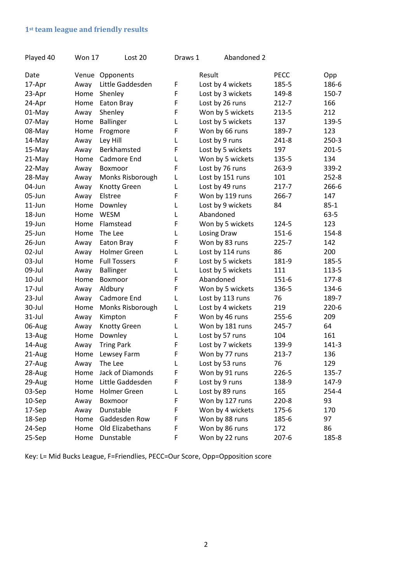## **1st team league and friendly results**

| Played 40 | <b>Won 17</b> | Lost 20             | Draws 1 | Abandoned 2        |           |           |
|-----------|---------------|---------------------|---------|--------------------|-----------|-----------|
| Date      |               | Venue Opponents     |         | Result             | PECC      | Opp       |
| 17-Apr    | Away          | Little Gaddesden    | F       | Lost by 4 wickets  | 185-5     | 186-6     |
| 23-Apr    | Home          | Shenley             | F       | Lost by 3 wickets  | 149-8     | 150-7     |
| 24-Apr    | Home          | Eaton Bray          | F       | Lost by 26 runs    | $212 - 7$ | 166       |
| 01-May    | Away          | Shenley             | F       | Won by 5 wickets   | 213-5     | 212       |
| 07-May    | Home          | <b>Ballinger</b>    | Г       | Lost by 5 wickets  | 137       | 139-5     |
| 08-May    | Home          | Frogmore            | F       | Won by 66 runs     | 189-7     | 123       |
| 14-May    | Away          | Ley Hill            | L       | Lost by 9 runs     | $241 - 8$ | $250-3$   |
| 15-May    | Away          | Berkhamsted         | F       | Lost by 5 wickets  | 197       | $201 - 5$ |
| 21-May    | Home          | Cadmore End         | L       | Won by 5 wickets   | 135-5     | 134       |
| 22-May    | Away          | Boxmoor             | F       | Lost by 76 runs    | 263-9     | 339-2     |
| 28-May    | Away          | Monks Risborough    | Г       | Lost by 151 runs   | 101       | $252 - 8$ |
| 04-Jun    | Away          | <b>Knotty Green</b> | Г       | Lost by 49 runs    | $217 - 7$ | 266-6     |
| 05-Jun    | Away          | Elstree             | F       | Won by 119 runs    | 266-7     | 147       |
| $11$ -Jun | Home          | Downley             | L       | Lost by 9 wickets  | 84        | $85 - 1$  |
| 18-Jun    | Home          | <b>WESM</b>         | Г       | Abandoned          |           | $63 - 5$  |
| 19-Jun    | Home          | Flamstead           | F       | Won by 5 wickets   | 124-5     | 123       |
| 25-Jun    | Home          | The Lee             | Г       | <b>Losing Draw</b> | 151-6     | 154-8     |
| 26-Jun    | Away          | Eaton Bray          | F       | Won by 83 runs     | $225 - 7$ | 142       |
| 02-Jul    | Away          | Holmer Green        | Г       | Lost by 114 runs   | 86        | 200       |
| 03-Jul    | Home          | <b>Full Tossers</b> | F       | Lost by 5 wickets  | 181-9     | 185-5     |
| 09-Jul    | Away          | Ballinger           | L       | Lost by 5 wickets  | 111       | 113-5     |
| $10$ -Jul | Home          | Boxmoor             | F       | Abandoned          | 151-6     | 177-8     |
| 17-Jul    | Away          | Aldbury             | F       | Won by 5 wickets   | 136-5     | 134-6     |
| $23$ -Jul | Away          | Cadmore End         | L       | Lost by 113 runs   | 76        | 189-7     |
| 30-Jul    | Home          | Monks Risborough    | L       | Lost by 4 wickets  | 219       | $220-6$   |
| $31$ -Jul | Away          | Kimpton             | F       | Won by 46 runs     | $255 - 6$ | 209       |
| 06-Aug    | Away          | Knotty Green        | Г       | Won by 181 runs    | 245-7     | 64        |
| 13-Aug    | Home          | Downley             | L       | Lost by 57 runs    | 104       | 161       |
| 14-Aug    | Away          | <b>Tring Park</b>   | F       | Lost by 7 wickets  | 139-9     | $141 - 3$ |
| 21-Aug    | Home          | Lewsey Farm         | F       | Won by 77 runs     | 213-7     | 136       |
| 27-Aug    | Away          | The Lee             | L       | Lost by 53 runs    | 76        | 129       |
| 28-Aug    | Home          | Jack of Diamonds    | F       | Won by 91 runs     | 226-5     | 135-7     |
| 29-Aug    | Home          | Little Gaddesden    | F       | Lost by 9 runs     | 138-9     | 147-9     |
| 03-Sep    | Home          | Holmer Green        | L       | Lost by 89 runs    | 165       | 254-4     |
| 10-Sep    | Away          | Boxmoor             | F       | Won by 127 runs    | $220 - 8$ | 93        |
| 17-Sep    | Away          | Dunstable           | F       | Won by 4 wickets   | 175-6     | 170       |
| 18-Sep    | Home          | Gaddesden Row       | F       | Won by 88 runs     | 185-6     | 97        |
| 24-Sep    | Home          | Old Elizabethans    | F       | Won by 86 runs     | 172       | 86        |
| 25-Sep    | Home          | Dunstable           | F       | Won by 22 runs     | $207 - 6$ | 185-8     |
|           |               |                     |         |                    |           |           |

Key: L= Mid Bucks League, F=Friendlies, PECC=Our Score, Opp=Opposition score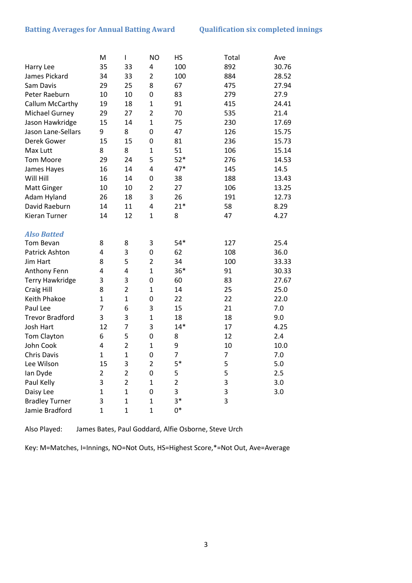#### **Batting Averages for Annual Batting Award Qualification six completed innings**

|                        | M              | I              | <b>NO</b>      | HS             | Total | Ave   |
|------------------------|----------------|----------------|----------------|----------------|-------|-------|
| Harry Lee              | 35             | 33             | 4              | 100            | 892   | 30.76 |
| James Pickard          | 34             | 33             | $\overline{2}$ | 100            | 884   | 28.52 |
| Sam Davis              | 29             | 25             | 8              | 67             | 475   | 27.94 |
| Peter Raeburn          | 10             | 10             | 0              | 83             | 279   | 27.9  |
| Callum McCarthy        | 19             | 18             | 1              | 91             | 415   | 24.41 |
| <b>Michael Gurney</b>  | 29             | 27             | $\overline{2}$ | 70             | 535   | 21.4  |
| Jason Hawkridge        | 15             | 14             | $\mathbf{1}$   | 75             | 230   | 17.69 |
| Jason Lane-Sellars     | 9              | 8              | 0              | 47             | 126   | 15.75 |
| Derek Gower            | 15             | 15             | 0              | 81             | 236   | 15.73 |
| Max Lutt               | 8              | 8              | $\mathbf{1}$   | 51             | 106   | 15.14 |
| <b>Tom Moore</b>       | 29             | 24             | 5              | $52*$          | 276   | 14.53 |
| James Hayes            | 16             | 14             | $\overline{4}$ | $47*$          | 145   | 14.5  |
| Will Hill              | 16             | 14             | 0              | 38             | 188   | 13.43 |
| <b>Matt Ginger</b>     | 10             | 10             | $\overline{2}$ | 27             | 106   | 13.25 |
| Adam Hyland            | 26             | 18             | 3              | 26             | 191   | 12.73 |
| David Raeburn          | 14             | 11             | 4              | $21*$          | 58    | 8.29  |
| Kieran Turner          | 14             | 12             | $\mathbf{1}$   | 8              | 47    | 4.27  |
|                        |                |                |                |                |       |       |
| <b>Also Batted</b>     |                |                |                |                |       |       |
| Tom Bevan              | 8              | 8              | 3              | $54*$          | 127   | 25.4  |
| <b>Patrick Ashton</b>  | 4              | 3              | 0              | 62             | 108   | 36.0  |
| Jim Hart               | 8              | 5              | $\overline{2}$ | 34             | 100   | 33.33 |
| Anthony Fenn           | 4              | 4              | $\mathbf{1}$   | $36*$          | 91    | 30.33 |
| <b>Terry Hawkridge</b> | 3              | 3              | 0              | 60             | 83    | 27.67 |
| Craig Hill             | 8              | $\overline{2}$ | $\mathbf{1}$   | 14             | 25    | 25.0  |
| Keith Phakoe           | $\mathbf{1}$   | $\mathbf{1}$   | 0              | 22             | 22    | 22.0  |
| Paul Lee               | $\overline{7}$ | 6              | 3              | 15             | 21    | 7.0   |
| <b>Trevor Bradford</b> | 3              | 3              | $\mathbf{1}$   | 18             | 18    | 9.0   |
| Josh Hart              | 12             | $\overline{7}$ | 3              | $14*$          | 17    | 4.25  |
| Tom Clayton            | 6              | 5              | 0              | 8              | 12    | 2.4   |
| John Cook              | 4              | $\overline{2}$ | $\mathbf{1}$   | 9              | 10    | 10.0  |
| <b>Chris Davis</b>     | $\mathbf{1}$   | $\overline{1}$ | 0              | 7              | 7     | 7.0   |
| Lee Wilson             | 15             | 3              | 2              | 5*             | 5     | 5.0   |
| lan Dyde               | $\overline{2}$ | $\overline{2}$ | 0              | 5              | 5     | 2.5   |
| Paul Kelly             | 3              | $\overline{2}$ | $\mathbf{1}$   | $\overline{2}$ | 3     | 3.0   |
| Daisy Lee              | $\mathbf{1}$   | $\mathbf{1}$   | 0              | 3              | 3     | 3.0   |
| <b>Bradley Turner</b>  | 3              | $\mathbf{1}$   | $\mathbf{1}$   | $3*$           | 3     |       |
| Jamie Bradford         | $\mathbf{1}$   | $\mathbf 1$    | $\mathbf{1}$   | $0*$           |       |       |

Also Played: James Bates, Paul Goddard, Alfie Osborne, Steve Urch

Key: M=Matches, I=Innings, NO=Not Outs, HS=Highest Score,\*=Not Out, Ave=Average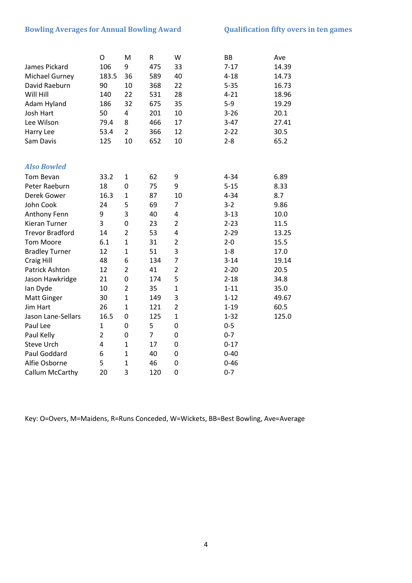### **Bowling Averages for Annual Bowling Award Qualification fifty overs in ten games**

|                        | O              | M              | R              | W              | <b>BB</b> | Ave   |
|------------------------|----------------|----------------|----------------|----------------|-----------|-------|
| James Pickard          | 106            | 9              | 475            | 33             | $7 - 17$  | 14.39 |
| <b>Michael Gurney</b>  | 183.5          | 36             | 589            | 40             | $4 - 18$  | 14.73 |
| David Raeburn          | 90             | 10             | 368            | 22             | $5 - 35$  | 16.73 |
| Will Hill              | 140            | 22             | 531            | 28             | $4 - 21$  | 18.96 |
| Adam Hyland            | 186            | 32             | 675            | 35             | $5-9$     | 19.29 |
| Josh Hart              | 50             | 4              | 201            | 10             | $3 - 26$  | 20.1  |
| Lee Wilson             | 79.4           | 8              | 466            | 17             | $3 - 47$  | 27.41 |
| Harry Lee              | 53.4           | $\overline{2}$ | 366            | 12             | $2 - 22$  | 30.5  |
| Sam Davis              | 125            | 10             | 652            | 10             | $2 - 8$   | 65.2  |
|                        |                |                |                |                |           |       |
| <b>Also Bowled</b>     |                |                |                |                |           |       |
| Tom Bevan              | 33.2           | $\mathbf{1}$   | 62             | 9              | $4 - 34$  | 6.89  |
| Peter Raeburn          | 18             | $\mathbf 0$    | 75             | 9              | $5 - 15$  | 8.33  |
| Derek Gower            | 16.3           | $\mathbf{1}$   | 87             | 10             | $4 - 34$  | 8.7   |
| John Cook              | 24             | 5              | 69             | 7              | $3 - 2$   | 9.86  |
| Anthony Fenn           | 9              | 3              | 40             | 4              | $3 - 13$  | 10.0  |
| <b>Kieran Turner</b>   | 3              | $\mathbf 0$    | 23             | $\overline{2}$ | $2 - 23$  | 11.5  |
| <b>Trevor Bradford</b> | 14             | $\overline{2}$ | 53             | 4              | $2 - 29$  | 13.25 |
| <b>Tom Moore</b>       | 6.1            | $\mathbf{1}$   | 31             | $\overline{2}$ | $2 - 0$   | 15.5  |
| <b>Bradley Turner</b>  | 12             | $\mathbf{1}$   | 51             | 3              | $1 - 8$   | 17.0  |
| <b>Craig Hill</b>      | 48             | 6              | 134            | 7              | $3 - 14$  | 19.14 |
| <b>Patrick Ashton</b>  | 12             | $\overline{2}$ | 41             | $\overline{2}$ | $2 - 20$  | 20.5  |
| Jason Hawkridge        | 21             | 0              | 174            | 5              | $2 - 18$  | 34.8  |
| lan Dyde               | 10             | $\overline{2}$ | 35             | $\mathbf{1}$   | $1 - 11$  | 35.0  |
| <b>Matt Ginger</b>     | 30             | $\mathbf{1}$   | 149            | 3              | $1 - 12$  | 49.67 |
| <b>Jim Hart</b>        | 26             | $\mathbf{1}$   | 121            | $\overline{2}$ | $1 - 19$  | 60.5  |
| Jason Lane-Sellars     | 16.5           | 0              | 125            | $\mathbf{1}$   | $1 - 32$  | 125.0 |
| Paul Lee               | $\mathbf{1}$   | 0              | 5              | $\mathbf 0$    | $0 - 5$   |       |
| Paul Kelly             | $\overline{2}$ | 0              | $\overline{7}$ | $\mathbf 0$    | $0 - 7$   |       |
| <b>Steve Urch</b>      | 4              | $\mathbf{1}$   | 17             | $\mathbf 0$    | $0 - 17$  |       |
| Paul Goddard           | 6              | $\overline{1}$ | 40             | $\mathbf 0$    | $0 - 40$  |       |
| Alfie Osborne          | 5              | $\overline{1}$ | 46             | $\mathbf 0$    | $0 - 46$  |       |
| Callum McCarthy        | 20             | 3              | 120            | $\mathbf 0$    | $0 - 7$   |       |

Key: O=Overs, M=Maidens, R=Runs Conceded, W=Wickets, BB=Best Bowling, Ave=Average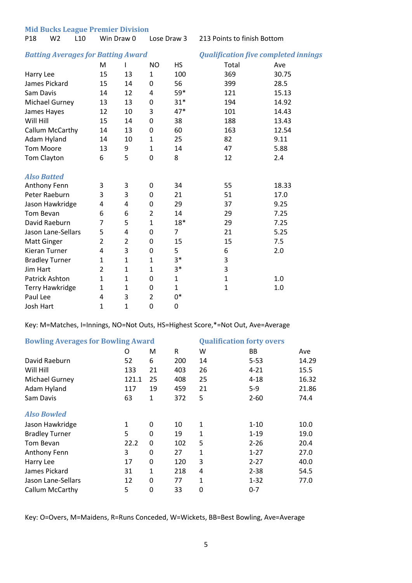**Mid Bucks League Premier Division** 

P18 W2 L10 Win Draw 0 Lose Draw 3 213 Points to finish Bottom

#### *Batting Averages for Batting Award Qualification five completed innings*

|                        | м            | ı              | <b>NO</b>      | HS           | Total        | Ave   |
|------------------------|--------------|----------------|----------------|--------------|--------------|-------|
| Harry Lee              | 15           | 13             | $\mathbf{1}$   | 100          | 369          | 30.75 |
| James Pickard          | 15           | 14             | 0              | 56           | 399          | 28.5  |
| Sam Davis              | 14           | 12             | 4              | 59*          | 121          | 15.13 |
| Michael Gurney         | 13           | 13             | 0              | $31*$        | 194          | 14.92 |
| James Hayes            | 12           | 10             | 3              | $47*$        | 101          | 14.43 |
| Will Hill              | 15           | 14             | 0              | 38           | 188          | 13.43 |
| Callum McCarthy        | 14           | 13             | $\mathbf 0$    | 60           | 163          | 12.54 |
| Adam Hyland            | 14           | 10             | $\mathbf{1}$   | 25           | 82           | 9.11  |
| Tom Moore              | 13           | 9              | $\mathbf{1}$   | 14           | 47           | 5.88  |
| Tom Clayton            | 6            | 5              | 0              | 8            | 12           | 2.4   |
|                        |              |                |                |              |              |       |
| <b>Also Batted</b>     |              |                |                |              |              |       |
| Anthony Fenn           | 3            | 3              | 0              | 34           | 55           | 18.33 |
| Peter Raeburn          | 3            | 3              | 0              | 21           | 51           | 17.0  |
| Jason Hawkridge        | 4            | 4              | 0              | 29           | 37           | 9.25  |
| Tom Bevan              | 6            | 6              | $\overline{2}$ | 14           | 29           | 7.25  |
| David Raeburn          | 7            | 5              | $\mathbf{1}$   | $18*$        | 29           | 7.25  |
| Jason Lane-Sellars     | 5            | 4              | $\mathbf 0$    | 7            | 21           | 5.25  |
| <b>Matt Ginger</b>     | 2            | $\overline{2}$ | $\mathbf 0$    | 15           | 15           | 7.5   |
| Kieran Turner          | 4            | 3              | $\mathbf 0$    | 5            | 6            | 2.0   |
| <b>Bradley Turner</b>  | 1            | $\mathbf{1}$   | $\mathbf{1}$   | $3*$         | 3            |       |
| <b>Jim Hart</b>        | 2            | $\mathbf{1}$   | $\mathbf{1}$   | $3*$         | 3            |       |
| <b>Patrick Ashton</b>  | $\mathbf{1}$ | $\mathbf{1}$   | 0              | $\mathbf{1}$ | $\mathbf{1}$ | 1.0   |
| <b>Terry Hawkridge</b> | $\mathbf{1}$ | $\mathbf{1}$   | $\mathbf 0$    | $\mathbf{1}$ | $\mathbf{1}$ | 1.0   |
| Paul Lee               | 4            | 3              | $\overline{2}$ | 0*           |              |       |
| <b>Josh Hart</b>       | 1            | $\mathbf{1}$   | $\mathbf 0$    | 0            |              |       |

Key: M=Matches, I=Innings, NO=Not Outs, HS=Highest Score,\*=Not Out, Ave=Average

| <b>Bowling Averages for Bowling Award</b> | <b>Qualification forty overs</b> |             |     |              |          |       |
|-------------------------------------------|----------------------------------|-------------|-----|--------------|----------|-------|
|                                           | O                                | M           | R   | W            | BB.      | Ave   |
| David Raeburn                             | 52                               | 6           | 200 | 14           | $5 - 53$ | 14.29 |
| Will Hill                                 | 133                              | 21          | 403 | 26           | $4 - 21$ | 15.5  |
| Michael Gurney                            | 121.1                            | 25          | 408 | 25           | $4 - 18$ | 16.32 |
| Adam Hyland                               | 117                              | 19          | 459 | 21           | $5-9$    | 21.86 |
| Sam Davis                                 | 63                               | 1           | 372 | 5            | $2 - 60$ | 74.4  |
| <b>Also Bowled</b>                        |                                  |             |     |              |          |       |
| Jason Hawkridge                           | 1                                | 0           | 10  | 1            | $1 - 10$ | 10.0  |
| <b>Bradley Turner</b>                     | 5                                | 0           | 19  | $\mathbf{1}$ | $1 - 19$ | 19.0  |
| Tom Bevan                                 | 22.2                             | 0           | 102 | 5            | $2 - 26$ | 20.4  |
| Anthony Fenn                              | 3                                | 0           | 27  | $\mathbf{1}$ | $1 - 27$ | 27.0  |
| Harry Lee                                 | 17                               | 0           | 120 | 3            | $2 - 27$ | 40.0  |
| James Pickard                             | 31                               | 1           | 218 | 4            | $2 - 38$ | 54.5  |
| Jason Lane-Sellars                        | 12                               | 0           | 77  | 1            | $1 - 32$ | 77.0  |
| Callum McCarthy                           | 5                                | $\mathbf 0$ | 33  | $\mathbf{0}$ | $0 - 7$  |       |

Key: O=Overs, M=Maidens, R=Runs Conceded, W=Wickets, BB=Best Bowling, Ave=Average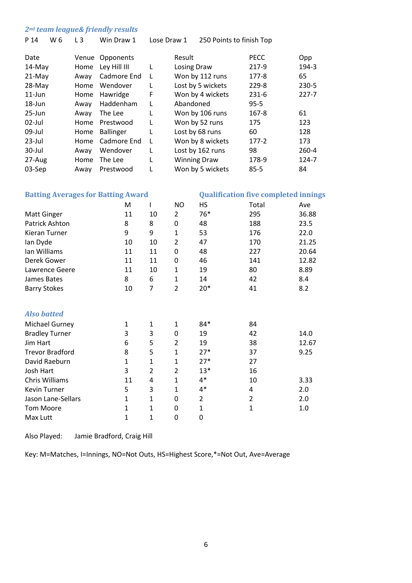#### *2nd team league& friendly results*

| P 14   | W 6 | $L_3$ | Win Draw 1       | Lose Draw 1 | 250 Points to finish Top |             |           |
|--------|-----|-------|------------------|-------------|--------------------------|-------------|-----------|
| Date   |     |       | Venue Opponents  |             | Result                   | <b>PECC</b> | Opp       |
| 14-May |     | Home  | Ley Hill III     | L           | Losing Draw              | 217-9       | 194-3     |
| 21-May |     | Away  | Cadmore End      | L           | Won by 112 runs          | 177-8       | 65        |
| 28-May |     | Home  | Wendover         | L           | Lost by 5 wickets        | 229-8       | $230 - 5$ |
| 11-Jun |     | Home  | Hawridge         | F           | Won by 4 wickets         | $231-6$     | $227 - 7$ |
| 18-Jun |     | Away  | Haddenham        | L           | Abandoned                | $95 - 5$    |           |
| 25-Jun |     | Away  | The Lee          | L           | Won by 106 runs          | $167 - 8$   | 61        |
| 02-Jul |     | Home  | Prestwood        | L           | Won by 52 runs           | 175         | 123       |
| 09-Jul |     | Home  | <b>Ballinger</b> | L           | Lost by 68 runs          | 60          | 128       |
| 23-Jul |     | Home  | Cadmore End      | L           | Won by 8 wickets         | $177 - 2$   | 173       |
| 30-Jul |     | Away  | Wendover         | L           | Lost by 162 runs         | 98          | 260-4     |
| 27-Aug |     | Home  | The Lee          | L           | <b>Winning Draw</b>      | 178-9       | 124-7     |
| 03-Sep |     | Away  | Prestwood        | L           | Won by 5 wickets         | $85 - 5$    | 84        |
|        |     |       |                  |             |                          |             |           |

| <b>Batting Averages for Batting Award</b> | <b>Qualification five completed innings</b> |                |                |                |                |       |
|-------------------------------------------|---------------------------------------------|----------------|----------------|----------------|----------------|-------|
|                                           | M                                           |                | <b>NO</b>      | HS             | Total          | Ave   |
| <b>Matt Ginger</b>                        | 11                                          | 10             | $\overline{2}$ | $76*$          | 295            | 36.88 |
| <b>Patrick Ashton</b>                     | 8                                           | 8              | 0              | 48             | 188            | 23.5  |
| Kieran Turner                             | 9                                           | 9              | $\mathbf{1}$   | 53             | 176            | 22.0  |
| lan Dyde                                  | 10                                          | 10             | 2              | 47             | 170            | 21.25 |
| Ian Williams                              | 11                                          | 11             | 0              | 48             | 227            | 20.64 |
| Derek Gower                               | 11                                          | 11             | 0              | 46             | 141            | 12.82 |
| Lawrence Geere                            | 11                                          | 10             | $\mathbf{1}$   | 19             | 80             | 8.89  |
| James Bates                               | 8                                           | 6              | $\mathbf{1}$   | 14             | 42             | 8.4   |
| <b>Barry Stokes</b>                       | 10                                          | 7              | $\overline{2}$ | $20*$          | 41             | 8.2   |
|                                           |                                             |                |                |                |                |       |
| <b>Also batted</b>                        |                                             |                |                |                |                |       |
| <b>Michael Gurney</b>                     | 1                                           | 1              | $\mathbf{1}$   | 84*            | 84             |       |
| <b>Bradley Turner</b>                     | 3                                           | 3              | 0              | 19             | 42             | 14.0  |
| Jim Hart                                  | 6                                           | 5              | $\overline{2}$ | 19             | 38             | 12.67 |
| <b>Trevor Bradford</b>                    | 8                                           | 5              | $\mathbf{1}$   | $27*$          | 37             | 9.25  |
| David Raeburn                             | $\mathbf{1}$                                | $\mathbf{1}$   | $\mathbf{1}$   | $27*$          | 27             |       |
| Josh Hart                                 | 3                                           | $\overline{2}$ | $\overline{2}$ | $13*$          | 16             |       |
| Chris Williams                            | 11                                          | 4              | $\mathbf{1}$   | $4*$           | 10             | 3.33  |
| Kevin Turner                              | 5                                           | 3              | $\mathbf{1}$   | 4*             | 4              | 2.0   |
| Jason Lane-Sellars                        | $\mathbf{1}$                                | $\mathbf{1}$   | 0              | $\overline{2}$ | $\overline{2}$ | 2.0   |
| <b>Tom Moore</b>                          | $\mathbf{1}$                                | $\mathbf{1}$   | 0              | $\mathbf{1}$   | 1              | 1.0   |
| Max Lutt                                  | 1                                           | $\mathbf{1}$   | 0              | 0              |                |       |

Also Played: Jamie Bradford, Craig Hill

Key: M=Matches, I=Innings, NO=Not Outs, HS=Highest Score,\*=Not Out, Ave=Average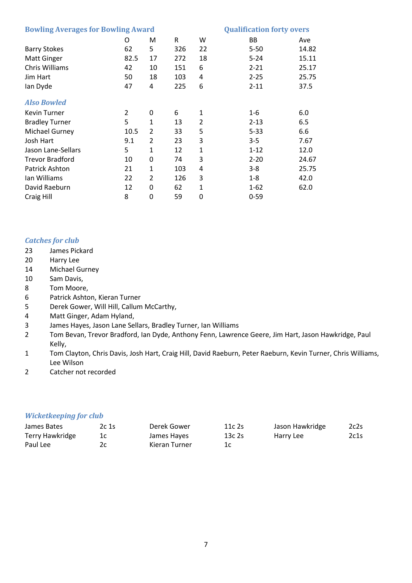| <b>Bowling Averages for Bowling Award</b> | <b>Qualification forty overs</b> |                |     |                |           |       |
|-------------------------------------------|----------------------------------|----------------|-----|----------------|-----------|-------|
|                                           | O                                | M              | R   | W              | <b>BB</b> | Ave   |
| <b>Barry Stokes</b>                       | 62                               | 5              | 326 | 22             | $5 - 50$  | 14.82 |
| <b>Matt Ginger</b>                        | 82.5                             | 17             | 272 | 18             | $5 - 24$  | 15.11 |
| Chris Williams                            | 42                               | 10             | 151 | 6              | $2 - 21$  | 25.17 |
| Jim Hart                                  | 50                               | 18             | 103 | 4              | $2 - 25$  | 25.75 |
| lan Dyde                                  | 47                               | 4              | 225 | 6              | $2 - 11$  | 37.5  |
| <b>Also Bowled</b>                        |                                  |                |     |                |           |       |
| Kevin Turner                              | 2                                | 0              | 6   | $\mathbf{1}$   | $1 - 6$   | 6.0   |
| <b>Bradley Turner</b>                     | 5                                | 1              | 13  | $\overline{2}$ | $2 - 13$  | 6.5   |
| <b>Michael Gurney</b>                     | 10.5                             | 2              | 33  | 5              | $5 - 33$  | 6.6   |
| Josh Hart                                 | 9.1                              | $\overline{2}$ | 23  | 3              | $3 - 5$   | 7.67  |
| Jason Lane-Sellars                        | 5                                | 1              | 12  | $\mathbf{1}$   | $1 - 12$  | 12.0  |
| <b>Trevor Bradford</b>                    | 10                               | 0              | 74  | 3              | $2 - 20$  | 24.67 |
| <b>Patrick Ashton</b>                     | 21                               | 1              | 103 | 4              | $3 - 8$   | 25.75 |
| Ian Williams                              | 22                               | 2              | 126 | 3              | $1 - 8$   | 42.0  |
| David Raeburn                             | 12                               | 0              | 62  | $\mathbf{1}$   | $1 - 62$  | 62.0  |
| Craig Hill                                | 8                                | 0              | 59  | 0              | $0 - 59$  |       |

#### *Catches for club*

- 23 James Pickard
- 20 Harry Lee
- 14 Michael Gurney
- 10 Sam Davis,
- 8 Tom Moore,
- 6 Patrick Ashton, Kieran Turner
- 5 Derek Gower, Will Hill, Callum McCarthy,
- 4 Matt Ginger, Adam Hyland,
- 3 James Hayes, Jason Lane Sellars, Bradley Turner, Ian Williams
- 2 Tom Bevan, Trevor Bradford, Ian Dyde, Anthony Fenn, Lawrence Geere, Jim Hart, Jason Hawkridge, Paul Kelly,
- 1 Tom Clayton, Chris Davis, Josh Hart, Craig Hill, David Raeburn, Peter Raeburn, Kevin Turner, Chris Williams, Lee Wilson
- 2 Catcher not recorded

#### *Wicketkeeping for club*

| James Bates     | 2c 1s | Derek Gower   | 11c2s | Jason Hawkridge | 2c2s |
|-----------------|-------|---------------|-------|-----------------|------|
| Terry Hawkridge |       | James Hayes   | 13c2s | Harry Lee       | 2c1s |
| Paul Lee        |       | Kieran Turner |       |                 |      |